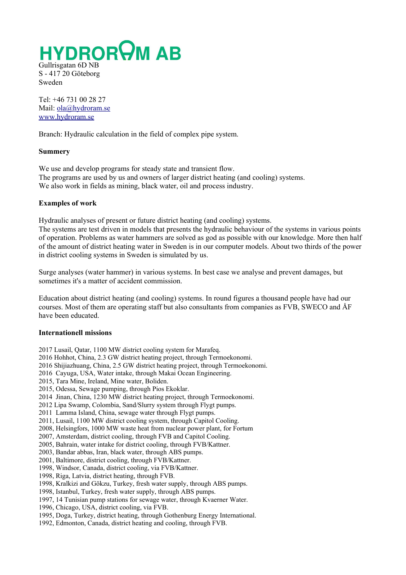**HYDROROM AB** Gullrisgatan 6D NB

S - 417 20 Göteborg Sweden

Tel: +46 731 00 28 27 Mail: [ola@hydroram.se](mailto:ola@hydroram.se) [www.hydroram.se](http://www.hydroram.se/)

Branch: Hydraulic calculation in the field of complex pipe system.

### **Summery**

We use and develop programs for steady state and transient flow. The programs are used by us and owners of larger district heating (and cooling) systems. We also work in fields as mining, black water, oil and process industry.

# **Examples of work**

Hydraulic analyses of present or future district heating (and cooling) systems.

The systems are test driven in models that presents the hydraulic behaviour of the systems in various points of operation. Problems as water hammers are solved as god as possible with our knowledge. More then half of the amount of district heating water in Sweden is in our computer models. About two thirds of the power in district cooling systems in Sweden is simulated by us.

Surge analyses (water hammer) in various systems. In best case we analyse and prevent damages, but sometimes it's a matter of accident commission.

Education about district heating (and cooling) systems. In round figures a thousand people have had our courses. Most of them are operating staff but also consultants from companies as FVB, SWECO and ÅF have been educated.

### **Internationell missions**

2017 Lusail, Qatar, 1100 MW district cooling system for Marafeq.

2016 Hohhot, China, 2.3 GW district heating project, through Termoekonomi.

2016 Shijiazhuang, China, 2.5 GW district heating project, through Termoekonomi.

2016 Cayuga, USA, Water intake, through Makai Ocean Engineering.

2015, Tara Mine, Ireland, Mine water, Boliden.

- 2015, Odessa, Sewage pumping, through Pios Ekoklar.
- 2014 Jinan, China, 1230 MW district heating project, through Termoekonomi.
- 2012 Lipa Swamp, Colombia, Sand/Slurry system through Flygt pumps.
- 2011 Lamma Island, China, sewage water through Flygt pumps.
- 2011, Lusail, 1100 MW district cooling system, through Capitol Cooling.
- 2008, Helsingfors, 1000 MW waste heat from nuclear power plant, for Fortum
- 2007, Amsterdam, district cooling, through FVB and Capitol Cooling.
- 2005, Bahrain, water intake for district cooling, through FVB/Kattner.
- 2003, Bandar abbas, Iran, black water, through ABS pumps.
- 2001, Baltimore, district cooling, through FVB/Kattner.
- 1998, Windsor, Canada, district cooling, via FVB/Kattner.
- 1998, Riga, Latvia, district heating, through FVB.
- 1998, Kralkizi and Gökzu, Turkey, fresh water supply, through ABS pumps.
- 1998, Istanbul, Turkey, fresh water supply, through ABS pumps.
- 1997, 14 Tunisian pump stations for sewage water, through Kvaerner Water.
- 1996, Chicago, USA, district cooling, via FVB.
- 1995, Doga, Turkey, district heating, through Gothenburg Energy International.
- 1992, Edmonton, Canada, district heating and cooling, through FVB.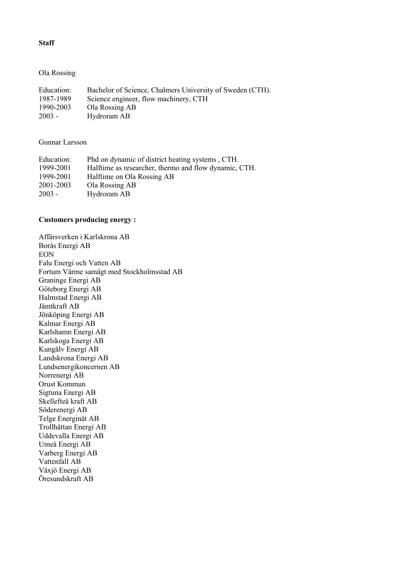# **Staff**

## Ola Rossing

| Education: | Bachelor of Science, Chalmers University of Sweden (CTH). |
|------------|-----------------------------------------------------------|
| 1987-1989  | Science engineer, flow machinery, CTH                     |
| 1990-2003  | Ola Rossing AB                                            |
| $2003 -$   | Hydroram AB                                               |

### Gunnar Larsson

| Education: | Phd on dynamic of district heating systems, CTH.      |
|------------|-------------------------------------------------------|
| 1999-2001  | Halftime as researcher, thermo and flow dynamic, CTH. |
| 1999-2001  | Halftime on Ola Rossing AB                            |
| 2001-2003  | Ola Rossing AB                                        |
| $2003 -$   | Hydroram AB                                           |
|            |                                                       |

# **Customers producing energy :**

Affärsverken i Karlskrona AB Borås Energi AB EON Falu Energi och Vatten AB Fortum Värme samägt med Stockholmsstad AB Graninge Energi AB Göteborg Energi AB Halmstad Energi AB Jämtkraft AB Jönköping Energi AB Kalmar Energi AB Karlshamn Energi AB Karlskoga Energi AB Kungälv Energi AB Landskrona Energi AB Lundsenergikoncernen AB Norrenergi AB Orust Kommun Sigtuna Energi AB Skellefteå kraft AB Söderenergi AB Telge Energinät AB Trollhättan Energi AB Uddevalla Energi AB Umeå Energi AB Varberg Energi AB Vattenfall AB Växjö Energi AB Öresundskraft AB